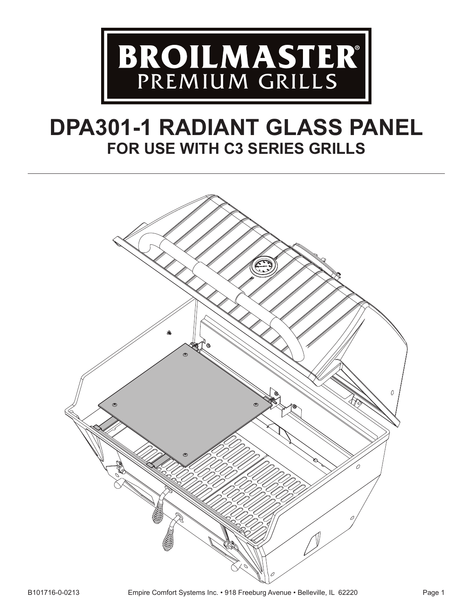

# **DPA301-1 RADIANT GLASS PANEL FOR USE WITH C3 SERIES GRILLS**